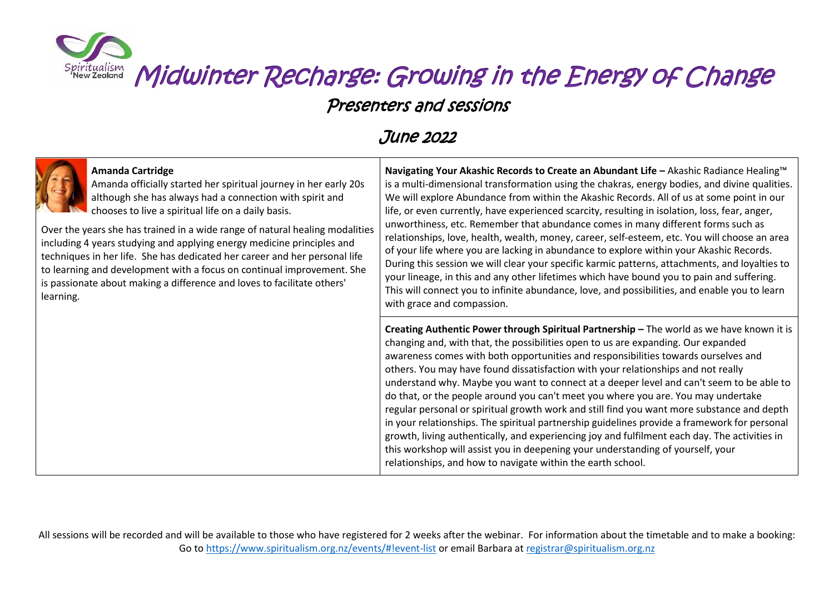

#### Presenters and sessions

#### June 2022



#### **Amanda Cartridge**

Amanda officially started her spiritual journey in her early 20s although she has always had a connection with spirit and chooses to live a spiritual life on a daily basis.

Over the years she has trained in a wide range of natural healing modalities including 4 years studying and applying energy medicine principles and techniques in her life. She has dedicated her career and her personal life to learning and development with a focus on continual improvement. She is passionate about making a difference and loves to facilitate others' learning.

**Navigating Your Akashic Records to Create an Abundant Life –** Akashic Radiance Healing™ is a multi-dimensional transformation using the chakras, energy bodies, and divine qualities. We will explore Abundance from within the Akashic Records. All of us at some point in our life, or even currently, have experienced scarcity, resulting in isolation, loss, fear, anger, unworthiness, etc. Remember that abundance comes in many different forms such as relationships, love, health, wealth, money, career, self-esteem, etc. You will choose an area of your life where you are lacking in abundance to explore within your Akashic Records. During this session we will clear your specific karmic patterns, attachments, and loyalties to your lineage, in this and any other lifetimes which have bound you to pain and suffering. This will connect you to infinite abundance, love, and possibilities, and enable you to learn with grace and compassion.

**Creating Authentic Power through Spiritual Partnership –** The world as we have known it is changing and, with that, the possibilities open to us are expanding. Our expanded awareness comes with both opportunities and responsibilities towards ourselves and others. You may have found dissatisfaction with your relationships and not really understand why. Maybe you want to connect at a deeper level and can't seem to be able to do that, or the people around you can't meet you where you are. You may undertake regular personal or spiritual growth work and still find you want more substance and depth in your relationships. The spiritual partnership guidelines provide a framework for personal growth, living authentically, and experiencing joy and fulfilment each day. The activities in this workshop will assist you in deepening your understanding of yourself, your relationships, and how to navigate within the earth school.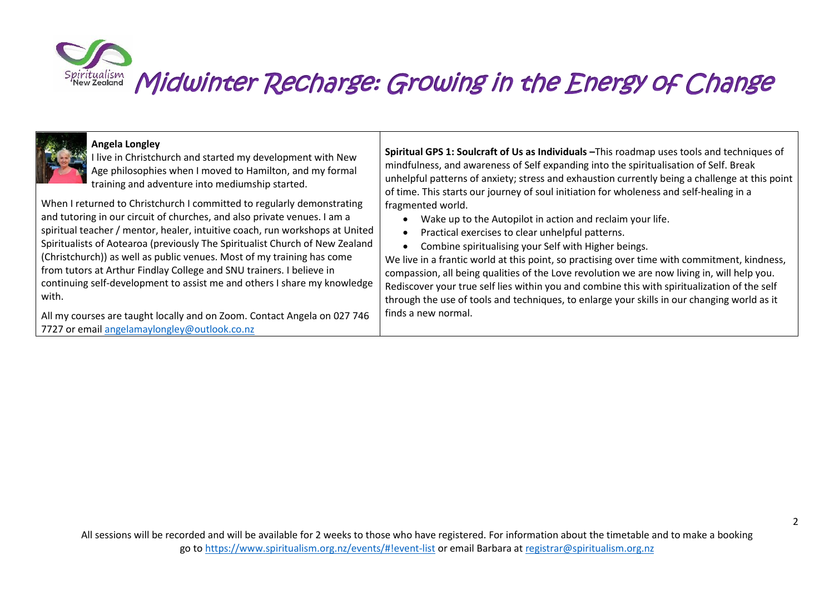

#### **Angela Longley**

I live in Christchurch and started my development with New Age philosophies when I moved to Hamilton, and my formal training and adventure into mediumship started.

When I returned to Christchurch I committed to regularly demonstrating and tutoring in our circuit of churches, and also private venues. I am a spiritual teacher / mentor, healer, intuitive coach, run workshops at United Spiritualists of Aotearoa (previously The Spiritualist Church of New Zealand (Christchurch)) as well as public venues. Most of my training has come from tutors at Arthur Findlay College and SNU trainers. I believe in continuing self-development to assist me and others I share my knowledge with.

All my courses are taught locally and on Zoom. Contact Angela on 027 746 7727 or emai[l angelamaylongley@outlook.co.nz](mailto:angelamaylongley@outlook.co.nz)

**Spiritual GPS 1: Soulcraft of Us as Individuals –**This roadmap uses tools and techniques of mindfulness, and awareness of Self expanding into the spiritualisation of Self. Break unhelpful patterns of anxiety; stress and exhaustion currently being a challenge at this point of time. This starts our journey of soul initiation for wholeness and self-healing in a fragmented world.

- Wake up to the Autopilot in action and reclaim your life.
- Practical exercises to clear unhelpful patterns.
- Combine spiritualising your Self with Higher beings.

We live in a frantic world at this point, so practising over time with commitment, kindness, compassion, all being qualities of the Love revolution we are now living in, will help you. Rediscover your true self lies within you and combine this with spiritualization of the self through the use of tools and techniques, to enlarge your skills in our changing world as it finds a new normal.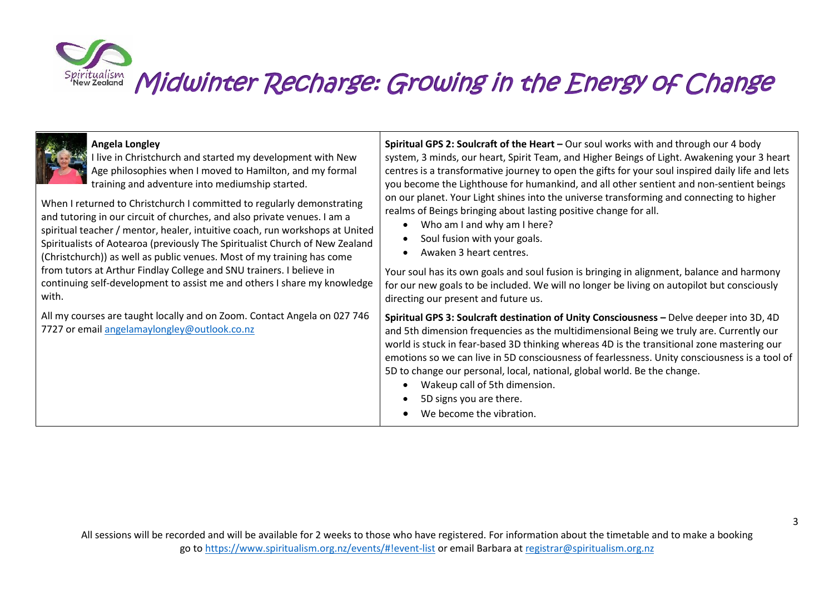## Midwinter Recharge: Growing in the Energy of Change Spiritualism

| Angela Longley                                                                                                           | Spiritual GPS 2: Soulcraft of the Heart - Our soul works with and through our 4 body                                                                                                                                                                                                                                                                                                                                                                                                                                                                   |
|--------------------------------------------------------------------------------------------------------------------------|--------------------------------------------------------------------------------------------------------------------------------------------------------------------------------------------------------------------------------------------------------------------------------------------------------------------------------------------------------------------------------------------------------------------------------------------------------------------------------------------------------------------------------------------------------|
| live in Christchurch and started my development with New                                                                 | system, 3 minds, our heart, Spirit Team, and Higher Beings of Light. Awakening your 3 heart                                                                                                                                                                                                                                                                                                                                                                                                                                                            |
| Age philosophies when I moved to Hamilton, and my formal                                                                 | centres is a transformative journey to open the gifts for your soul inspired daily life and lets                                                                                                                                                                                                                                                                                                                                                                                                                                                       |
| training and adventure into mediumship started.                                                                          | you become the Lighthouse for humankind, and all other sentient and non-sentient beings                                                                                                                                                                                                                                                                                                                                                                                                                                                                |
| When I returned to Christchurch I committed to regularly demonstrating                                                   | on our planet. Your Light shines into the universe transforming and connecting to higher                                                                                                                                                                                                                                                                                                                                                                                                                                                               |
| and tutoring in our circuit of churches, and also private venues. I am a                                                 | realms of Beings bringing about lasting positive change for all.                                                                                                                                                                                                                                                                                                                                                                                                                                                                                       |
| spiritual teacher / mentor, healer, intuitive coach, run workshops at United                                             | Who am I and why am I here?                                                                                                                                                                                                                                                                                                                                                                                                                                                                                                                            |
| Spiritualists of Aotearoa (previously The Spiritualist Church of New Zealand                                             | Soul fusion with your goals.                                                                                                                                                                                                                                                                                                                                                                                                                                                                                                                           |
| (Christchurch)) as well as public venues. Most of my training has come                                                   | Awaken 3 heart centres.                                                                                                                                                                                                                                                                                                                                                                                                                                                                                                                                |
| from tutors at Arthur Findlay College and SNU trainers. I believe in                                                     | Your soul has its own goals and soul fusion is bringing in alignment, balance and harmony                                                                                                                                                                                                                                                                                                                                                                                                                                                              |
| continuing self-development to assist me and others I share my knowledge                                                 | for our new goals to be included. We will no longer be living on autopilot but consciously                                                                                                                                                                                                                                                                                                                                                                                                                                                             |
| with.                                                                                                                    | directing our present and future us.                                                                                                                                                                                                                                                                                                                                                                                                                                                                                                                   |
| All my courses are taught locally and on Zoom. Contact Angela on 027 746<br>7727 or email angelamaylongley@outlook.co.nz | Spiritual GPS 3: Soulcraft destination of Unity Consciousness - Delve deeper into 3D, 4D<br>and 5th dimension frequencies as the multidimensional Being we truly are. Currently our<br>world is stuck in fear-based 3D thinking whereas 4D is the transitional zone mastering our<br>emotions so we can live in 5D consciousness of fearlessness. Unity consciousness is a tool of<br>5D to change our personal, local, national, global world. Be the change.<br>Wakeup call of 5th dimension.<br>5D signs you are there.<br>We become the vibration. |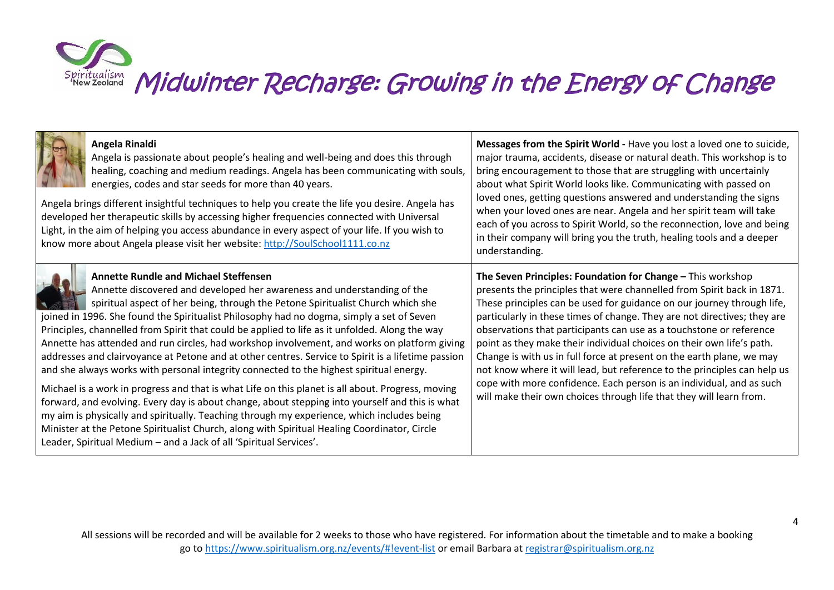

| Angela Rinaldi<br>Angela is passionate about people's healing and well-being and does this through<br>healing, coaching and medium readings. Angela has been communicating with souls,<br>energies, codes and star seeds for more than 40 years.<br>Angela brings different insightful techniques to help you create the life you desire. Angela has<br>developed her therapeutic skills by accessing higher frequencies connected with Universal<br>Light, in the aim of helping you access abundance in every aspect of your life. If you wish to<br>know more about Angela please visit her website: http://SoulSchool1111.co.nz                                                                                                                                                                                                                                                                                                                                                                                                                                                                                                                                                    | Messages from the Spirit World - Have you lost a loved one to suicide,<br>major trauma, accidents, disease or natural death. This workshop is to<br>bring encouragement to those that are struggling with uncertainly<br>about what Spirit World looks like. Communicating with passed on<br>loved ones, getting questions answered and understanding the signs<br>when your loved ones are near. Angela and her spirit team will take<br>each of you across to Spirit World, so the reconnection, love and being<br>in their company will bring you the truth, healing tools and a deeper<br>understanding.                                                                                                                                    |
|----------------------------------------------------------------------------------------------------------------------------------------------------------------------------------------------------------------------------------------------------------------------------------------------------------------------------------------------------------------------------------------------------------------------------------------------------------------------------------------------------------------------------------------------------------------------------------------------------------------------------------------------------------------------------------------------------------------------------------------------------------------------------------------------------------------------------------------------------------------------------------------------------------------------------------------------------------------------------------------------------------------------------------------------------------------------------------------------------------------------------------------------------------------------------------------|-------------------------------------------------------------------------------------------------------------------------------------------------------------------------------------------------------------------------------------------------------------------------------------------------------------------------------------------------------------------------------------------------------------------------------------------------------------------------------------------------------------------------------------------------------------------------------------------------------------------------------------------------------------------------------------------------------------------------------------------------|
| <b>Annette Rundle and Michael Steffensen</b><br>Annette discovered and developed her awareness and understanding of the<br>spiritual aspect of her being, through the Petone Spiritualist Church which she<br>joined in 1996. She found the Spiritualist Philosophy had no dogma, simply a set of Seven<br>Principles, channelled from Spirit that could be applied to life as it unfolded. Along the way<br>Annette has attended and run circles, had workshop involvement, and works on platform giving<br>addresses and clairvoyance at Petone and at other centres. Service to Spirit is a lifetime passion<br>and she always works with personal integrity connected to the highest spiritual energy.<br>Michael is a work in progress and that is what Life on this planet is all about. Progress, moving<br>forward, and evolving. Every day is about change, about stepping into yourself and this is what<br>my aim is physically and spiritually. Teaching through my experience, which includes being<br>Minister at the Petone Spiritualist Church, along with Spiritual Healing Coordinator, Circle<br>Leader, Spiritual Medium - and a Jack of all 'Spiritual Services'. | The Seven Principles: Foundation for Change - This workshop<br>presents the principles that were channelled from Spirit back in 1871.<br>These principles can be used for guidance on our journey through life,<br>particularly in these times of change. They are not directives; they are<br>observations that participants can use as a touchstone or reference<br>point as they make their individual choices on their own life's path.<br>Change is with us in full force at present on the earth plane, we may<br>not know where it will lead, but reference to the principles can help us<br>cope with more confidence. Each person is an individual, and as such<br>will make their own choices through life that they will learn from. |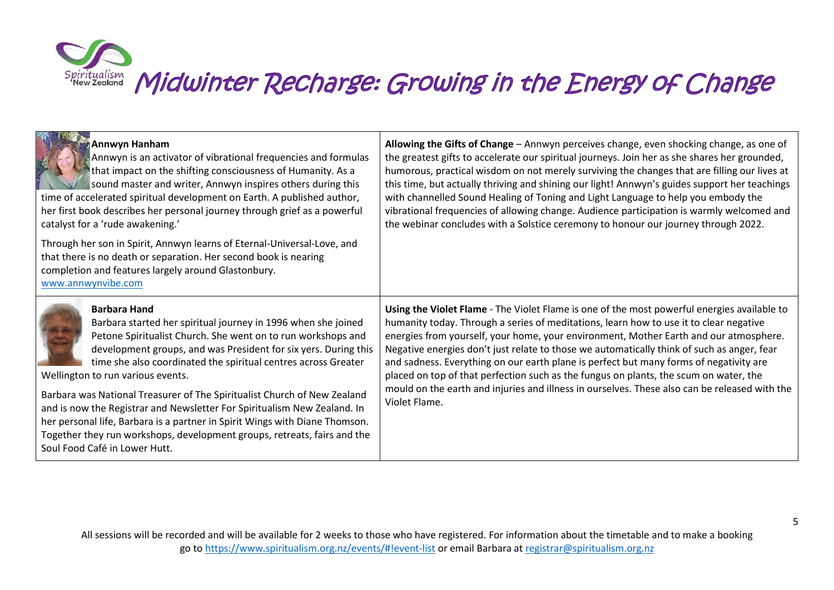| Annwyn Hanham<br>Annwyn is an activator of vibrational frequencies and formulas<br>that impact on the shifting consciousness of Humanity. As a<br>sound master and writer, Annwyn inspires others during this<br>time of accelerated spiritual development on Earth. A published author,<br>her first book describes her personal journey through grief as a powerful<br>catalyst for a 'rude awakening.'<br>Through her son in Spirit, Annwyn learns of Eternal-Universal-Love, and<br>that there is no death or separation. Her second book is nearing<br>completion and features largely around Glastonbury.<br>www.annwynvibe.com                                              | Allowing the Gifts of Change - Annwyn perceives change, even shocking change, as one of<br>the greatest gifts to accelerate our spiritual journeys. Join her as she shares her grounded,<br>humorous, practical wisdom on not merely surviving the changes that are filling our lives at<br>this time, but actually thriving and shining our light! Annwyn's guides support her teachings<br>with channelled Sound Healing of Toning and Light Language to help you embody the<br>vibrational frequencies of allowing change. Audience participation is warmly welcomed and<br>the webinar concludes with a Solstice ceremony to honour our journey through 2022.                 |
|------------------------------------------------------------------------------------------------------------------------------------------------------------------------------------------------------------------------------------------------------------------------------------------------------------------------------------------------------------------------------------------------------------------------------------------------------------------------------------------------------------------------------------------------------------------------------------------------------------------------------------------------------------------------------------|-----------------------------------------------------------------------------------------------------------------------------------------------------------------------------------------------------------------------------------------------------------------------------------------------------------------------------------------------------------------------------------------------------------------------------------------------------------------------------------------------------------------------------------------------------------------------------------------------------------------------------------------------------------------------------------|
| <b>Barbara Hand</b><br>Barbara started her spiritual journey in 1996 when she joined<br>Petone Spiritualist Church. She went on to run workshops and<br>development groups, and was President for six yers. During this<br>time she also coordinated the spiritual centres across Greater<br>Wellington to run various events.<br>Barbara was National Treasurer of The Spiritualist Church of New Zealand<br>and is now the Registrar and Newsletter For Spiritualism New Zealand. In<br>her personal life, Barbara is a partner in Spirit Wings with Diane Thomson.<br>Together they run workshops, development groups, retreats, fairs and the<br>Soul Food Café in Lower Hutt. | Using the Violet Flame - The Violet Flame is one of the most powerful energies available to<br>humanity today. Through a series of meditations, learn how to use it to clear negative<br>energies from yourself, your home, your environment, Mother Earth and our atmosphere.<br>Negative energies don't just relate to those we automatically think of such as anger, fear<br>and sadness. Everything on our earth plane is perfect but many forms of negativity are<br>placed on top of that perfection such as the fungus on plants, the scum on water, the<br>mould on the earth and injuries and illness in ourselves. These also can be released with the<br>Violet Flame. |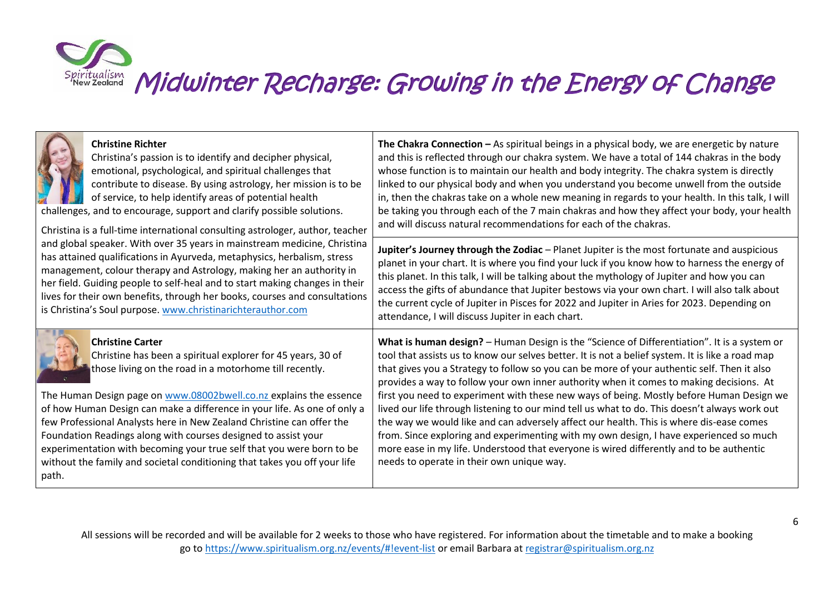|       | <b>Christine Richter</b><br>Christina's passion is to identify and decipher physical,<br>emotional, psychological, and spiritual challenges that<br>contribute to disease. By using astrology, her mission is to be<br>of service, to help identify areas of potential health<br>challenges, and to encourage, support and clarify possible solutions.<br>Christina is a full-time international consulting astrologer, author, teacher                                                                                                                                                             | The Chakra Connection - As spiritual beings in a physical body, we are energetic by nature<br>and this is reflected through our chakra system. We have a total of 144 chakras in the body<br>whose function is to maintain our health and body integrity. The chakra system is directly<br>linked to our physical body and when you understand you become unwell from the outside<br>in, then the chakras take on a whole new meaning in regards to your health. In this talk, I will<br>be taking you through each of the 7 main chakras and how they affect your body, your health<br>and will discuss natural recommendations for each of the chakras.                                                                                                                                                                                                                                                           |
|-------|-----------------------------------------------------------------------------------------------------------------------------------------------------------------------------------------------------------------------------------------------------------------------------------------------------------------------------------------------------------------------------------------------------------------------------------------------------------------------------------------------------------------------------------------------------------------------------------------------------|---------------------------------------------------------------------------------------------------------------------------------------------------------------------------------------------------------------------------------------------------------------------------------------------------------------------------------------------------------------------------------------------------------------------------------------------------------------------------------------------------------------------------------------------------------------------------------------------------------------------------------------------------------------------------------------------------------------------------------------------------------------------------------------------------------------------------------------------------------------------------------------------------------------------|
|       | and global speaker. With over 35 years in mainstream medicine, Christina<br>has attained qualifications in Ayurveda, metaphysics, herbalism, stress<br>management, colour therapy and Astrology, making her an authority in<br>her field. Guiding people to self-heal and to start making changes in their<br>lives for their own benefits, through her books, courses and consultations<br>is Christina's Soul purpose. www.christinarichterauthor.com                                                                                                                                             | Jupiter's Journey through the Zodiac - Planet Jupiter is the most fortunate and auspicious<br>planet in your chart. It is where you find your luck if you know how to harness the energy of<br>this planet. In this talk, I will be talking about the mythology of Jupiter and how you can<br>access the gifts of abundance that Jupiter bestows via your own chart. I will also talk about<br>the current cycle of Jupiter in Pisces for 2022 and Jupiter in Aries for 2023. Depending on<br>attendance, I will discuss Jupiter in each chart.                                                                                                                                                                                                                                                                                                                                                                     |
| path. | <b>Christine Carter</b><br>Christine has been a spiritual explorer for 45 years, 30 of<br>those living on the road in a motorhome till recently.<br>The Human Design page on www.08002bwell.co.nz explains the essence<br>of how Human Design can make a difference in your life. As one of only a<br>few Professional Analysts here in New Zealand Christine can offer the<br>Foundation Readings along with courses designed to assist your<br>experimentation with becoming your true self that you were born to be<br>without the family and societal conditioning that takes you off your life | What is human design? - Human Design is the "Science of Differentiation". It is a system or<br>tool that assists us to know our selves better. It is not a belief system. It is like a road map<br>that gives you a Strategy to follow so you can be more of your authentic self. Then it also<br>provides a way to follow your own inner authority when it comes to making decisions. At<br>first you need to experiment with these new ways of being. Mostly before Human Design we<br>lived our life through listening to our mind tell us what to do. This doesn't always work out<br>the way we would like and can adversely affect our health. This is where dis-ease comes<br>from. Since exploring and experimenting with my own design, I have experienced so much<br>more ease in my life. Understood that everyone is wired differently and to be authentic<br>needs to operate in their own unique way. |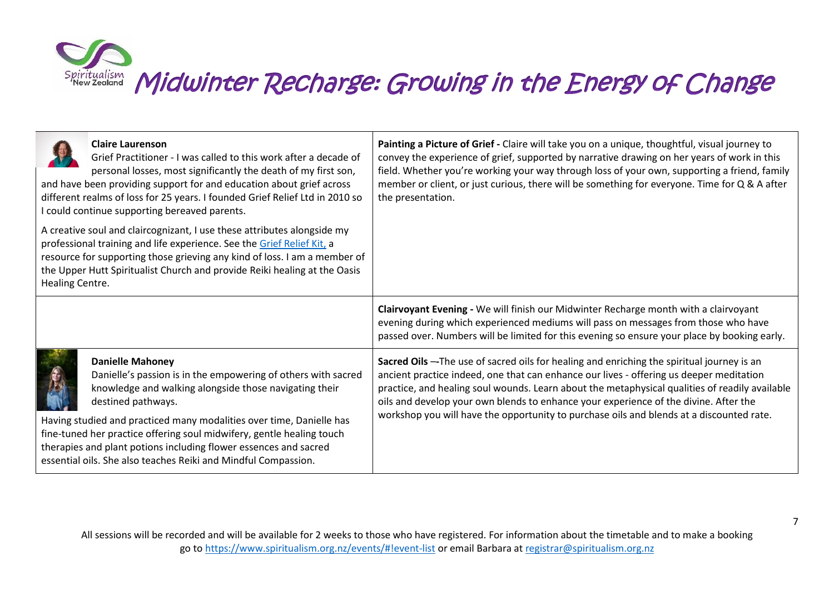| <b>Claire Laurenson</b><br>Grief Practitioner - I was called to this work after a decade of<br>personal losses, most significantly the death of my first son,<br>and have been providing support for and education about grief across<br>different realms of loss for 25 years. I founded Grief Relief Ltd in 2010 so<br>I could continue supporting bereaved parents.                                                                                          | Painting a Picture of Grief - Claire will take you on a unique, thoughtful, visual journey to<br>convey the experience of grief, supported by narrative drawing on her years of work in this<br>field. Whether you're working your way through loss of your own, supporting a friend, family<br>member or client, or just curious, there will be something for everyone. Time for Q & A after<br>the presentation.                                                           |
|-----------------------------------------------------------------------------------------------------------------------------------------------------------------------------------------------------------------------------------------------------------------------------------------------------------------------------------------------------------------------------------------------------------------------------------------------------------------|------------------------------------------------------------------------------------------------------------------------------------------------------------------------------------------------------------------------------------------------------------------------------------------------------------------------------------------------------------------------------------------------------------------------------------------------------------------------------|
| A creative soul and claircognizant, I use these attributes alongside my<br>professional training and life experience. See the Grief Relief Kit, a<br>resource for supporting those grieving any kind of loss. I am a member of<br>the Upper Hutt Spiritualist Church and provide Reiki healing at the Oasis<br>Healing Centre.                                                                                                                                  |                                                                                                                                                                                                                                                                                                                                                                                                                                                                              |
|                                                                                                                                                                                                                                                                                                                                                                                                                                                                 | Clairvoyant Evening - We will finish our Midwinter Recharge month with a clairvoyant<br>evening during which experienced mediums will pass on messages from those who have<br>passed over. Numbers will be limited for this evening so ensure your place by booking early.                                                                                                                                                                                                   |
| <b>Danielle Mahoney</b><br>Danielle's passion is in the empowering of others with sacred<br>knowledge and walking alongside those navigating their<br>destined pathways.<br>Having studied and practiced many modalities over time, Danielle has<br>fine-tuned her practice offering soul midwifery, gentle healing touch<br>therapies and plant potions including flower essences and sacred<br>essential oils. She also teaches Reiki and Mindful Compassion. | Sacred Oils -- The use of sacred oils for healing and enriching the spiritual journey is an<br>ancient practice indeed, one that can enhance our lives - offering us deeper meditation<br>practice, and healing soul wounds. Learn about the metaphysical qualities of readily available<br>oils and develop your own blends to enhance your experience of the divine. After the<br>workshop you will have the opportunity to purchase oils and blends at a discounted rate. |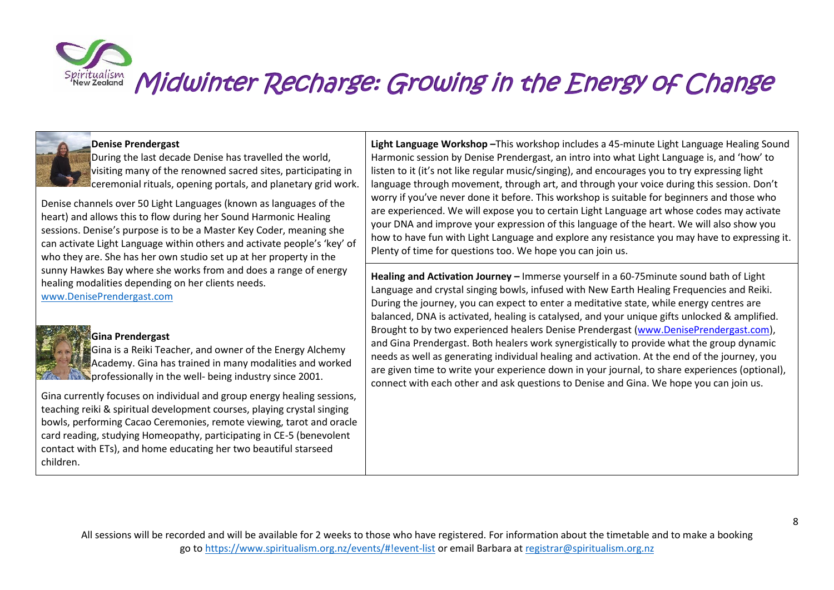#### **Denise Prendergast**

During the last decade Denise has travelled the world, visiting many of the renowned sacred sites, participating in ceremonial rituals, opening portals, and planetary grid work.

Denise channels over 50 Light Languages (known as languages of the heart) and allows this to flow during her Sound Harmonic Healing sessions. Denise's purpose is to be a Master Key Coder, meaning she can activate Light Language within others and activate people's 'key' of who they are. She has her own studio set up at her property in the sunny Hawkes Bay where she works from and does a range of energy healing modalities depending on her clients needs.

[www.DenisePrendergast.com](http://www.deniseprendergast.com/)

#### **Gina Prendergast**

Gina is a Reiki Teacher, and owner of the Energy Alchemy Academy. Gina has trained in many modalities and worked **Example 5 starting in the well- being industry since 2001.** 

Gina currently focuses on individual and group energy healing sessions, teaching reiki & spiritual development courses, playing crystal singing bowls, performing Cacao Ceremonies, remote viewing, tarot and oracle card reading, studying Homeopathy, participating in CE-5 (benevolent contact with ETs), and home educating her two beautiful starseed children.

**Light Language Workshop –**This workshop includes a 45-minute Light Language Healing Sound Harmonic session by Denise Prendergast, an intro into what Light Language is, and 'how' to listen to it (it's not like regular music/singing), and encourages you to try expressing light language through movement, through art, and through your voice during this session. Don't worry if you've never done it before. This workshop is suitable for beginners and those who are experienced. We will expose you to certain Light Language art whose codes may activate your DNA and improve your expression of this language of the heart. We will also show you how to have fun with Light Language and explore any resistance you may have to expressing it. Plenty of time for questions too. We hope you can join us.

**Healing and Activation Journey –** Immerse yourself in a 60-75minute sound bath of Light Language and crystal singing bowls, infused with New Earth Healing Frequencies and Reiki. During the journey, you can expect to enter a meditative state, while energy centres are balanced, DNA is activated, healing is catalysed, and your unique gifts unlocked & amplified. Brought to by two experienced healers Denise Prendergast [\(www.DenisePrendergast.com\)](http://www.deniseprendergast.com/?fbclid=IwAR0XJkYUCsecaDqRpaU7vKjcv-gf0wZ9a_DkNS-VuMPTIoK_GWD4QFqZCVI), and Gina Prendergast. Both healers work synergistically to provide what the group dynamic needs as well as generating individual healing and activation. At the end of the journey, you are given time to write your experience down in your journal, to share experiences (optional), connect with each other and ask questions to Denise and Gina. We hope you can join us.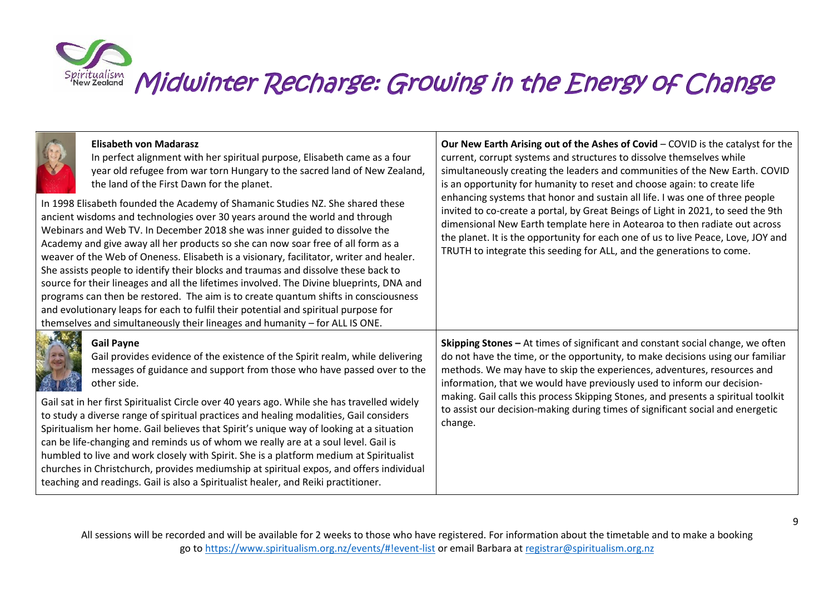

| <b>Elisabeth von Madarasz</b><br>In perfect alignment with her spiritual purpose, Elisabeth came as a four<br>year old refugee from war torn Hungary to the sacred land of New Zealand,<br>the land of the First Dawn for the planet.<br>In 1998 Elisabeth founded the Academy of Shamanic Studies NZ. She shared these<br>ancient wisdoms and technologies over 30 years around the world and through<br>Webinars and Web TV. In December 2018 she was inner guided to dissolve the<br>Academy and give away all her products so she can now soar free of all form as a<br>weaver of the Web of Oneness. Elisabeth is a visionary, facilitator, writer and healer.<br>She assists people to identify their blocks and traumas and dissolve these back to<br>source for their lineages and all the lifetimes involved. The Divine blueprints, DNA and<br>programs can then be restored. The aim is to create quantum shifts in consciousness<br>and evolutionary leaps for each to fulfil their potential and spiritual purpose for<br>themselves and simultaneously their lineages and humanity - for ALL IS ONE. | Our New Earth Arising out of the Ashes of Covid - COVID is the catalyst for the<br>current, corrupt systems and structures to dissolve themselves while<br>simultaneously creating the leaders and communities of the New Earth. COVID<br>is an opportunity for humanity to reset and choose again: to create life<br>enhancing systems that honor and sustain all life. I was one of three people<br>invited to co-create a portal, by Great Beings of Light in 2021, to seed the 9th<br>dimensional New Earth template here in Aotearoa to then radiate out across<br>the planet. It is the opportunity for each one of us to live Peace, Love, JOY and<br>TRUTH to integrate this seeding for ALL, and the generations to come. |
|--------------------------------------------------------------------------------------------------------------------------------------------------------------------------------------------------------------------------------------------------------------------------------------------------------------------------------------------------------------------------------------------------------------------------------------------------------------------------------------------------------------------------------------------------------------------------------------------------------------------------------------------------------------------------------------------------------------------------------------------------------------------------------------------------------------------------------------------------------------------------------------------------------------------------------------------------------------------------------------------------------------------------------------------------------------------------------------------------------------------|------------------------------------------------------------------------------------------------------------------------------------------------------------------------------------------------------------------------------------------------------------------------------------------------------------------------------------------------------------------------------------------------------------------------------------------------------------------------------------------------------------------------------------------------------------------------------------------------------------------------------------------------------------------------------------------------------------------------------------|
| <b>Gail Payne</b><br>Gail provides evidence of the existence of the Spirit realm, while delivering<br>messages of guidance and support from those who have passed over to the<br>other side.<br>Gail sat in her first Spiritualist Circle over 40 years ago. While she has travelled widely                                                                                                                                                                                                                                                                                                                                                                                                                                                                                                                                                                                                                                                                                                                                                                                                                        | Skipping Stones - At times of significant and constant social change, we often<br>do not have the time, or the opportunity, to make decisions using our familiar<br>methods. We may have to skip the experiences, adventures, resources and<br>information, that we would have previously used to inform our decision-<br>making. Gail calls this process Skipping Stones, and presents a spiritual toolkit<br>to assist our decision-making during times of significant social and energetic                                                                                                                                                                                                                                      |
| to study a diverse range of spiritual practices and healing modalities, Gail considers<br>Spiritualism her home. Gail believes that Spirit's unique way of looking at a situation<br>can be life-changing and reminds us of whom we really are at a soul level. Gail is<br>humbled to live and work closely with Spirit. She is a platform medium at Spiritualist<br>churches in Christchurch, provides mediumship at spiritual expos, and offers individual<br>teaching and readings. Gail is also a Spiritualist healer, and Reiki practitioner.                                                                                                                                                                                                                                                                                                                                                                                                                                                                                                                                                                 | change.                                                                                                                                                                                                                                                                                                                                                                                                                                                                                                                                                                                                                                                                                                                            |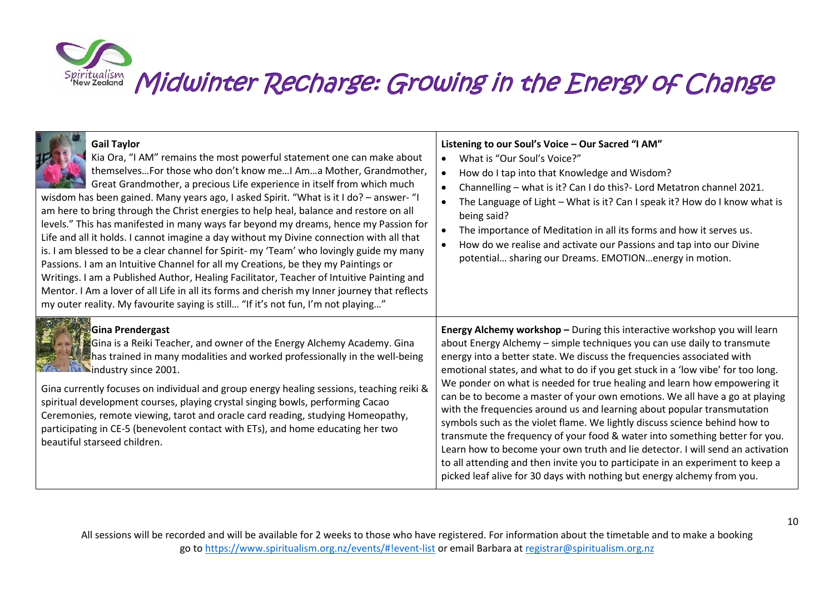| <b>Gail Taylor</b><br>Kia Ora, "I AM" remains the most powerful statement one can make about<br>themselves For those who don't know me I Am a Mother, Grandmother,<br>Great Grandmother, a precious Life experience in itself from which much<br>wisdom has been gained. Many years ago, I asked Spirit. "What is it I do? - answer- "I<br>am here to bring through the Christ energies to help heal, balance and restore on all<br>levels." This has manifested in many ways far beyond my dreams, hence my Passion for<br>Life and all it holds. I cannot imagine a day without my Divine connection with all that<br>is. I am blessed to be a clear channel for Spirit- my 'Team' who lovingly guide my many<br>Passions. I am an Intuitive Channel for all my Creations, be they my Paintings or<br>Writings. I am a Published Author, Healing Facilitator, Teacher of Intuitive Painting and<br>Mentor. I Am a lover of all Life in all its forms and cherish my Inner journey that reflects<br>my outer reality. My favourite saying is still "If it's not fun, I'm not playing" | Listening to our Soul's Voice - Our Sacred "I AM"<br>What is "Our Soul's Voice?"<br>How do I tap into that Knowledge and Wisdom?<br>Channelling - what is it? Can I do this? - Lord Metatron channel 2021.<br>The Language of Light - What is it? Can I speak it? How do I know what is<br>being said?<br>The importance of Meditation in all its forms and how it serves us.<br>How do we realise and activate our Passions and tap into our Divine<br>potential sharing our Dreams. EMOTIONenergy in motion.                                                                                                                                                                                                                                                                                                                                                                                                                                                      |
|----------------------------------------------------------------------------------------------------------------------------------------------------------------------------------------------------------------------------------------------------------------------------------------------------------------------------------------------------------------------------------------------------------------------------------------------------------------------------------------------------------------------------------------------------------------------------------------------------------------------------------------------------------------------------------------------------------------------------------------------------------------------------------------------------------------------------------------------------------------------------------------------------------------------------------------------------------------------------------------------------------------------------------------------------------------------------------------|---------------------------------------------------------------------------------------------------------------------------------------------------------------------------------------------------------------------------------------------------------------------------------------------------------------------------------------------------------------------------------------------------------------------------------------------------------------------------------------------------------------------------------------------------------------------------------------------------------------------------------------------------------------------------------------------------------------------------------------------------------------------------------------------------------------------------------------------------------------------------------------------------------------------------------------------------------------------|
| <b>Gina Prendergast</b><br>Gina is a Reiki Teacher, and owner of the Energy Alchemy Academy. Gina<br>has trained in many modalities and worked professionally in the well-being<br><b>WARE ASSOCIATED</b> industry since 2001.<br>Gina currently focuses on individual and group energy healing sessions, teaching reiki &<br>spiritual development courses, playing crystal singing bowls, performing Cacao<br>Ceremonies, remote viewing, tarot and oracle card reading, studying Homeopathy,<br>participating in CE-5 (benevolent contact with ETs), and home educating her two<br>beautiful starseed children.                                                                                                                                                                                                                                                                                                                                                                                                                                                                     | Energy Alchemy workshop - During this interactive workshop you will learn<br>about Energy Alchemy - simple techniques you can use daily to transmute<br>energy into a better state. We discuss the frequencies associated with<br>emotional states, and what to do if you get stuck in a 'low vibe' for too long.<br>We ponder on what is needed for true healing and learn how empowering it<br>can be to become a master of your own emotions. We all have a go at playing<br>with the frequencies around us and learning about popular transmutation<br>symbols such as the violet flame. We lightly discuss science behind how to<br>transmute the frequency of your food & water into something better for you.<br>Learn how to become your own truth and lie detector. I will send an activation<br>to all attending and then invite you to participate in an experiment to keep a<br>picked leaf alive for 30 days with nothing but energy alchemy from you. |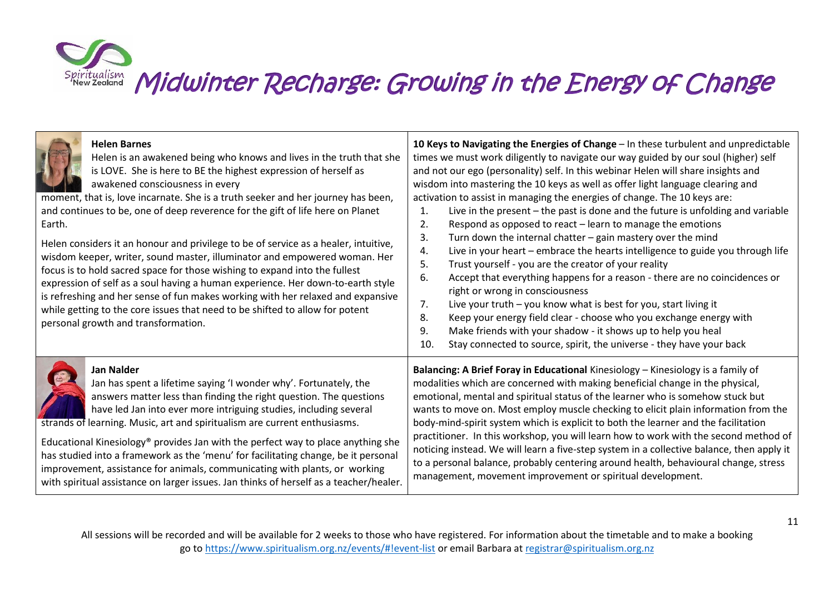| <b>Helen Barnes</b><br>Helen is an awakened being who knows and lives in the truth that she<br>is LOVE. She is here to BE the highest expression of herself as<br>awakened consciousness in every<br>moment, that is, love incarnate. She is a truth seeker and her journey has been,<br>and continues to be, one of deep reverence for the gift of life here on Planet<br>Earth.<br>Helen considers it an honour and privilege to be of service as a healer, intuitive,<br>wisdom keeper, writer, sound master, illuminator and empowered woman. Her<br>focus is to hold sacred space for those wishing to expand into the fullest<br>expression of self as a soul having a human experience. Her down-to-earth style<br>is refreshing and her sense of fun makes working with her relaxed and expansive<br>while getting to the core issues that need to be shifted to allow for potent<br>personal growth and transformation. | 10 Keys to Navigating the Energies of Change - In these turbulent and unpredictable<br>times we must work diligently to navigate our way guided by our soul (higher) self<br>and not our ego (personality) self. In this webinar Helen will share insights and<br>wisdom into mastering the 10 keys as well as offer light language clearing and<br>activation to assist in managing the energies of change. The 10 keys are:<br>Live in the present – the past is done and the future is unfolding and variable<br>1.<br>2.<br>Respond as opposed to react - learn to manage the emotions<br>3.<br>Turn down the internal chatter - gain mastery over the mind<br>Live in your heart - embrace the hearts intelligence to guide you through life<br>4.<br>5.<br>Trust yourself - you are the creator of your reality<br>6.<br>Accept that everything happens for a reason - there are no coincidences or<br>right or wrong in consciousness<br>Live your truth - you know what is best for you, start living it<br>7.<br>Keep your energy field clear - choose who you exchange energy with<br>8.<br>Make friends with your shadow - it shows up to help you heal<br>9.<br>10.<br>Stay connected to source, spirit, the universe - they have your back |
|----------------------------------------------------------------------------------------------------------------------------------------------------------------------------------------------------------------------------------------------------------------------------------------------------------------------------------------------------------------------------------------------------------------------------------------------------------------------------------------------------------------------------------------------------------------------------------------------------------------------------------------------------------------------------------------------------------------------------------------------------------------------------------------------------------------------------------------------------------------------------------------------------------------------------------|---------------------------------------------------------------------------------------------------------------------------------------------------------------------------------------------------------------------------------------------------------------------------------------------------------------------------------------------------------------------------------------------------------------------------------------------------------------------------------------------------------------------------------------------------------------------------------------------------------------------------------------------------------------------------------------------------------------------------------------------------------------------------------------------------------------------------------------------------------------------------------------------------------------------------------------------------------------------------------------------------------------------------------------------------------------------------------------------------------------------------------------------------------------------------------------------------------------------------------------------------------|
| <b>Jan Nalder</b>                                                                                                                                                                                                                                                                                                                                                                                                                                                                                                                                                                                                                                                                                                                                                                                                                                                                                                                | Balancing: A Brief Foray in Educational Kinesiology - Kinesiology is a family of                                                                                                                                                                                                                                                                                                                                                                                                                                                                                                                                                                                                                                                                                                                                                                                                                                                                                                                                                                                                                                                                                                                                                                        |
| Jan has spent a lifetime saying 'I wonder why'. Fortunately, the                                                                                                                                                                                                                                                                                                                                                                                                                                                                                                                                                                                                                                                                                                                                                                                                                                                                 | modalities which are concerned with making beneficial change in the physical,                                                                                                                                                                                                                                                                                                                                                                                                                                                                                                                                                                                                                                                                                                                                                                                                                                                                                                                                                                                                                                                                                                                                                                           |
| answers matter less than finding the right question. The questions                                                                                                                                                                                                                                                                                                                                                                                                                                                                                                                                                                                                                                                                                                                                                                                                                                                               | emotional, mental and spiritual status of the learner who is somehow stuck but                                                                                                                                                                                                                                                                                                                                                                                                                                                                                                                                                                                                                                                                                                                                                                                                                                                                                                                                                                                                                                                                                                                                                                          |
| have led Jan into ever more intriguing studies, including several                                                                                                                                                                                                                                                                                                                                                                                                                                                                                                                                                                                                                                                                                                                                                                                                                                                                | wants to move on. Most employ muscle checking to elicit plain information from the                                                                                                                                                                                                                                                                                                                                                                                                                                                                                                                                                                                                                                                                                                                                                                                                                                                                                                                                                                                                                                                                                                                                                                      |
| strands of learning. Music, art and spiritualism are current enthusiasms.                                                                                                                                                                                                                                                                                                                                                                                                                                                                                                                                                                                                                                                                                                                                                                                                                                                        | body-mind-spirit system which is explicit to both the learner and the facilitation                                                                                                                                                                                                                                                                                                                                                                                                                                                                                                                                                                                                                                                                                                                                                                                                                                                                                                                                                                                                                                                                                                                                                                      |
| Educational Kinesiology® provides Jan with the perfect way to place anything she                                                                                                                                                                                                                                                                                                                                                                                                                                                                                                                                                                                                                                                                                                                                                                                                                                                 | practitioner. In this workshop, you will learn how to work with the second method of                                                                                                                                                                                                                                                                                                                                                                                                                                                                                                                                                                                                                                                                                                                                                                                                                                                                                                                                                                                                                                                                                                                                                                    |
| has studied into a framework as the 'menu' for facilitating change, be it personal                                                                                                                                                                                                                                                                                                                                                                                                                                                                                                                                                                                                                                                                                                                                                                                                                                               | noticing instead. We will learn a five-step system in a collective balance, then apply it                                                                                                                                                                                                                                                                                                                                                                                                                                                                                                                                                                                                                                                                                                                                                                                                                                                                                                                                                                                                                                                                                                                                                               |
| improvement, assistance for animals, communicating with plants, or working                                                                                                                                                                                                                                                                                                                                                                                                                                                                                                                                                                                                                                                                                                                                                                                                                                                       | to a personal balance, probably centering around health, behavioural change, stress                                                                                                                                                                                                                                                                                                                                                                                                                                                                                                                                                                                                                                                                                                                                                                                                                                                                                                                                                                                                                                                                                                                                                                     |
| with spiritual assistance on larger issues. Jan thinks of herself as a teacher/healer.                                                                                                                                                                                                                                                                                                                                                                                                                                                                                                                                                                                                                                                                                                                                                                                                                                           | management, movement improvement or spiritual development.                                                                                                                                                                                                                                                                                                                                                                                                                                                                                                                                                                                                                                                                                                                                                                                                                                                                                                                                                                                                                                                                                                                                                                                              |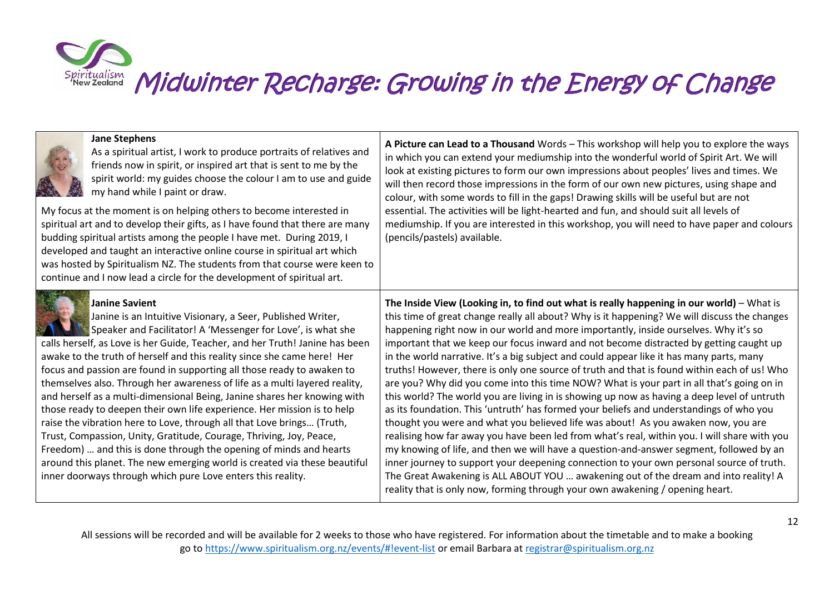| <b>Jane Stephens</b><br>As a spiritual artist, I work to produce portraits of relatives and<br>friends now in spirit, or inspired art that is sent to me by the<br>spirit world: my guides choose the colour I am to use and guide<br>my hand while I paint or draw.<br>My focus at the moment is on helping others to become interested in<br>spiritual art and to develop their gifts, as I have found that there are many<br>budding spiritual artists among the people I have met. During 2019, I<br>developed and taught an interactive online course in spiritual art which<br>was hosted by Spiritualism NZ. The students from that course were keen to<br>continue and I now lead a circle for the development of spiritual art.                                                                                                                                                                                                                                                          | A Picture can Lead to a Thousand Words - This workshop will help you to explore the ways<br>in which you can extend your mediumship into the wonderful world of Spirit Art. We will<br>look at existing pictures to form our own impressions about peoples' lives and times. We<br>will then record those impressions in the form of our own new pictures, using shape and<br>colour, with some words to fill in the gaps! Drawing skills will be useful but are not<br>essential. The activities will be light-hearted and fun, and should suit all levels of<br>mediumship. If you are interested in this workshop, you will need to have paper and colours<br>(pencils/pastels) available.                                                                                                                                                                                                                                                                                                                                                                                                                                                                                                                                                                                                                                                                                                                      |
|---------------------------------------------------------------------------------------------------------------------------------------------------------------------------------------------------------------------------------------------------------------------------------------------------------------------------------------------------------------------------------------------------------------------------------------------------------------------------------------------------------------------------------------------------------------------------------------------------------------------------------------------------------------------------------------------------------------------------------------------------------------------------------------------------------------------------------------------------------------------------------------------------------------------------------------------------------------------------------------------------|--------------------------------------------------------------------------------------------------------------------------------------------------------------------------------------------------------------------------------------------------------------------------------------------------------------------------------------------------------------------------------------------------------------------------------------------------------------------------------------------------------------------------------------------------------------------------------------------------------------------------------------------------------------------------------------------------------------------------------------------------------------------------------------------------------------------------------------------------------------------------------------------------------------------------------------------------------------------------------------------------------------------------------------------------------------------------------------------------------------------------------------------------------------------------------------------------------------------------------------------------------------------------------------------------------------------------------------------------------------------------------------------------------------------|
| <b>Janine Savient</b><br>Janine is an Intuitive Visionary, a Seer, Published Writer,<br>Speaker and Facilitator! A 'Messenger for Love', is what she<br>calls herself, as Love is her Guide, Teacher, and her Truth! Janine has been<br>awake to the truth of herself and this reality since she came here! Her<br>focus and passion are found in supporting all those ready to awaken to<br>themselves also. Through her awareness of life as a multi layered reality,<br>and herself as a multi-dimensional Being, Janine shares her knowing with<br>those ready to deepen their own life experience. Her mission is to help<br>raise the vibration here to Love, through all that Love brings (Truth,<br>Trust, Compassion, Unity, Gratitude, Courage, Thriving, Joy, Peace,<br>Freedom)  and this is done through the opening of minds and hearts<br>around this planet. The new emerging world is created via these beautiful<br>inner doorways through which pure Love enters this reality. | The Inside View (Looking in, to find out what is really happening in our world) - What is<br>this time of great change really all about? Why is it happening? We will discuss the changes<br>happening right now in our world and more importantly, inside ourselves. Why it's so<br>important that we keep our focus inward and not become distracted by getting caught up<br>in the world narrative. It's a big subject and could appear like it has many parts, many<br>truths! However, there is only one source of truth and that is found within each of us! Who<br>are you? Why did you come into this time NOW? What is your part in all that's going on in<br>this world? The world you are living in is showing up now as having a deep level of untruth<br>as its foundation. This 'untruth' has formed your beliefs and understandings of who you<br>thought you were and what you believed life was about! As you awaken now, you are<br>realising how far away you have been led from what's real, within you. I will share with you<br>my knowing of life, and then we will have a question-and-answer segment, followed by an<br>inner journey to support your deepening connection to your own personal source of truth.<br>The Great Awakening is ALL ABOUT YOU  awakening out of the dream and into reality! A<br>reality that is only now, forming through your own awakening / opening heart. |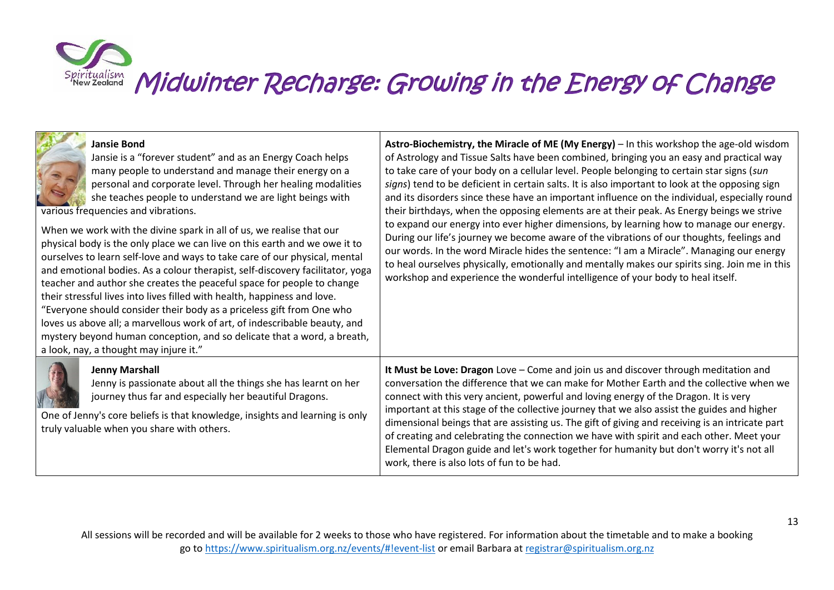| <b>Jansie Bond</b><br>Jansie is a "forever student" and as an Energy Coach helps<br>many people to understand and manage their energy on a<br>personal and corporate level. Through her healing modalities<br>she teaches people to understand we are light beings with<br>various frequencies and vibrations.<br>When we work with the divine spark in all of us, we realise that our<br>physical body is the only place we can live on this earth and we owe it to<br>ourselves to learn self-love and ways to take care of our physical, mental<br>and emotional bodies. As a colour therapist, self-discovery facilitator, yoga<br>teacher and author she creates the peaceful space for people to change<br>their stressful lives into lives filled with health, happiness and love.<br>"Everyone should consider their body as a priceless gift from One who<br>loves us above all; a marvellous work of art, of indescribable beauty, and | Astro-Biochemistry, the Miracle of ME (My Energy) - In this workshop the age-old wisdom<br>of Astrology and Tissue Salts have been combined, bringing you an easy and practical way<br>to take care of your body on a cellular level. People belonging to certain star signs (sun<br>signs) tend to be deficient in certain salts. It is also important to look at the opposing sign<br>and its disorders since these have an important influence on the individual, especially round<br>their birthdays, when the opposing elements are at their peak. As Energy beings we strive<br>to expand our energy into ever higher dimensions, by learning how to manage our energy.<br>During our life's journey we become aware of the vibrations of our thoughts, feelings and<br>our words. In the word Miracle hides the sentence: "I am a Miracle". Managing our energy<br>to heal ourselves physically, emotionally and mentally makes our spirits sing. Join me in this<br>workshop and experience the wonderful intelligence of your body to heal itself. |
|--------------------------------------------------------------------------------------------------------------------------------------------------------------------------------------------------------------------------------------------------------------------------------------------------------------------------------------------------------------------------------------------------------------------------------------------------------------------------------------------------------------------------------------------------------------------------------------------------------------------------------------------------------------------------------------------------------------------------------------------------------------------------------------------------------------------------------------------------------------------------------------------------------------------------------------------------|-------------------------------------------------------------------------------------------------------------------------------------------------------------------------------------------------------------------------------------------------------------------------------------------------------------------------------------------------------------------------------------------------------------------------------------------------------------------------------------------------------------------------------------------------------------------------------------------------------------------------------------------------------------------------------------------------------------------------------------------------------------------------------------------------------------------------------------------------------------------------------------------------------------------------------------------------------------------------------------------------------------------------------------------------------------|
| mystery beyond human conception, and so delicate that a word, a breath,<br>a look, nay, a thought may injure it."                                                                                                                                                                                                                                                                                                                                                                                                                                                                                                                                                                                                                                                                                                                                                                                                                                |                                                                                                                                                                                                                                                                                                                                                                                                                                                                                                                                                                                                                                                                                                                                                                                                                                                                                                                                                                                                                                                             |
| <b>Jenny Marshall</b><br>Jenny is passionate about all the things she has learnt on her<br>journey thus far and especially her beautiful Dragons.<br>One of Jenny's core beliefs is that knowledge, insights and learning is only<br>truly valuable when you share with others.                                                                                                                                                                                                                                                                                                                                                                                                                                                                                                                                                                                                                                                                  | It Must be Love: Dragon Love - Come and join us and discover through meditation and<br>conversation the difference that we can make for Mother Earth and the collective when we<br>connect with this very ancient, powerful and loving energy of the Dragon. It is very<br>important at this stage of the collective journey that we also assist the guides and higher<br>dimensional beings that are assisting us. The gift of giving and receiving is an intricate part<br>of creating and celebrating the connection we have with spirit and each other. Meet your                                                                                                                                                                                                                                                                                                                                                                                                                                                                                       |

**DEL SOLO DE** 

work, there is also lots of fun to be had.

Elemental Dragon guide and let's work together for humanity but don't worry it's not all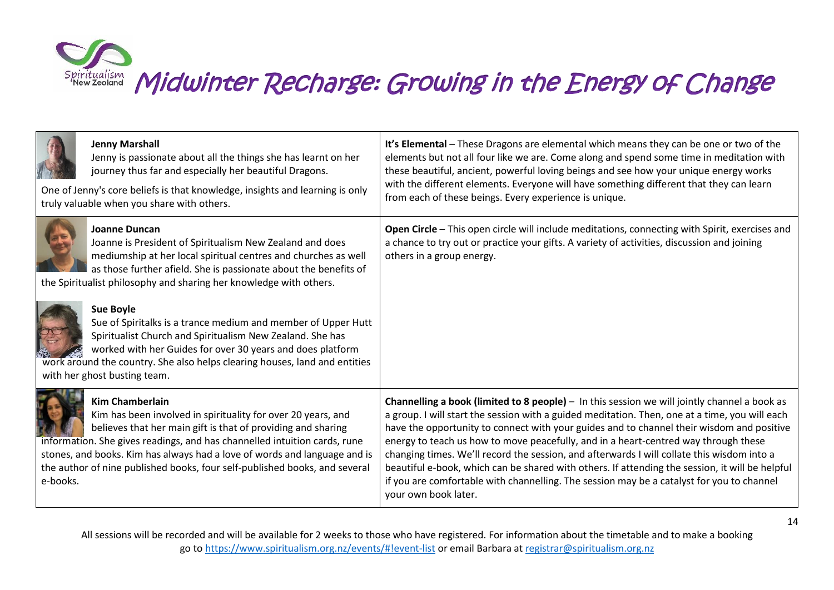

| <b>Jenny Marshall</b><br>Jenny is passionate about all the things she has learnt on her<br>journey thus far and especially her beautiful Dragons.<br>One of Jenny's core beliefs is that knowledge, insights and learning is only<br>truly valuable when you share with others.                                                                                                                            | It's Elemental - These Dragons are elemental which means they can be one or two of the<br>elements but not all four like we are. Come along and spend some time in meditation with<br>these beautiful, ancient, powerful loving beings and see how your unique energy works<br>with the different elements. Everyone will have something different that they can learn<br>from each of these beings. Every experience is unique.                                                                                                                                                                                                                                                                         |
|------------------------------------------------------------------------------------------------------------------------------------------------------------------------------------------------------------------------------------------------------------------------------------------------------------------------------------------------------------------------------------------------------------|----------------------------------------------------------------------------------------------------------------------------------------------------------------------------------------------------------------------------------------------------------------------------------------------------------------------------------------------------------------------------------------------------------------------------------------------------------------------------------------------------------------------------------------------------------------------------------------------------------------------------------------------------------------------------------------------------------|
| Joanne Duncan<br>Joanne is President of Spiritualism New Zealand and does<br>mediumship at her local spiritual centres and churches as well<br>as those further afield. She is passionate about the benefits of<br>the Spiritualist philosophy and sharing her knowledge with others.                                                                                                                      | Open Circle - This open circle will include meditations, connecting with Spirit, exercises and<br>a chance to try out or practice your gifts. A variety of activities, discussion and joining<br>others in a group energy.                                                                                                                                                                                                                                                                                                                                                                                                                                                                               |
| <b>Sue Boyle</b><br>Sue of Spiritalks is a trance medium and member of Upper Hutt<br>Spiritualist Church and Spiritualism New Zealand. She has<br>worked with her Guides for over 30 years and does platform<br>work around the country. She also helps clearing houses, land and entities<br>with her ghost busting team.                                                                                 |                                                                                                                                                                                                                                                                                                                                                                                                                                                                                                                                                                                                                                                                                                          |
| <b>Kim Chamberlain</b><br>Kim has been involved in spirituality for over 20 years, and<br>believes that her main gift is that of providing and sharing<br>information. She gives readings, and has channelled intuition cards, rune<br>stones, and books. Kim has always had a love of words and language and is<br>the author of nine published books, four self-published books, and several<br>e-books. | Channelling a book (limited to 8 people) - In this session we will jointly channel a book as<br>a group. I will start the session with a guided meditation. Then, one at a time, you will each<br>have the opportunity to connect with your guides and to channel their wisdom and positive<br>energy to teach us how to move peacefully, and in a heart-centred way through these<br>changing times. We'll record the session, and afterwards I will collate this wisdom into a<br>beautiful e-book, which can be shared with others. If attending the session, it will be helpful<br>if you are comfortable with channelling. The session may be a catalyst for you to channel<br>your own book later. |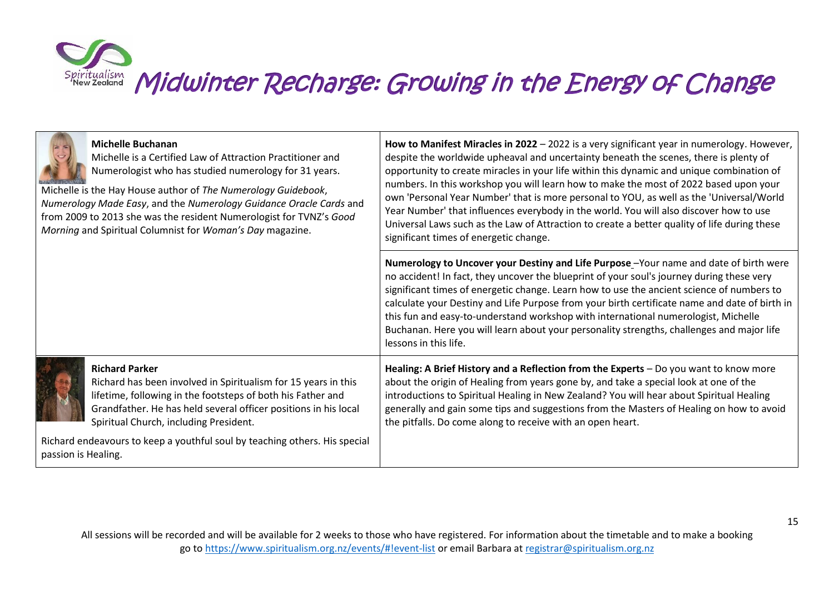

|                     | <b>Michelle Buchanan</b><br>Michelle is a Certified Law of Attraction Practitioner and<br>Numerologist who has studied numerology for 31 years.<br>Michelle is the Hay House author of The Numerology Guidebook,<br>Numerology Made Easy, and the Numerology Guidance Oracle Cards and<br>from 2009 to 2013 she was the resident Numerologist for TVNZ's Good<br>Morning and Spiritual Columnist for Woman's Day magazine. | How to Manifest Miracles in 2022 - 2022 is a very significant year in numerology. However,<br>despite the worldwide upheaval and uncertainty beneath the scenes, there is plenty of<br>opportunity to create miracles in your life within this dynamic and unique combination of<br>numbers. In this workshop you will learn how to make the most of 2022 based upon your<br>own 'Personal Year Number' that is more personal to YOU, as well as the 'Universal/World<br>Year Number' that influences everybody in the world. You will also discover how to use<br>Universal Laws such as the Law of Attraction to create a better quality of life during these<br>significant times of energetic change. |
|---------------------|----------------------------------------------------------------------------------------------------------------------------------------------------------------------------------------------------------------------------------------------------------------------------------------------------------------------------------------------------------------------------------------------------------------------------|-----------------------------------------------------------------------------------------------------------------------------------------------------------------------------------------------------------------------------------------------------------------------------------------------------------------------------------------------------------------------------------------------------------------------------------------------------------------------------------------------------------------------------------------------------------------------------------------------------------------------------------------------------------------------------------------------------------|
|                     |                                                                                                                                                                                                                                                                                                                                                                                                                            | Numerology to Uncover your Destiny and Life Purpose -Your name and date of birth were<br>no accident! In fact, they uncover the blueprint of your soul's journey during these very<br>significant times of energetic change. Learn how to use the ancient science of numbers to<br>calculate your Destiny and Life Purpose from your birth certificate name and date of birth in<br>this fun and easy-to-understand workshop with international numerologist, Michelle<br>Buchanan. Here you will learn about your personality strengths, challenges and major life<br>lessons in this life.                                                                                                              |
|                     | <b>Richard Parker</b><br>Richard has been involved in Spiritualism for 15 years in this<br>lifetime, following in the footsteps of both his Father and<br>Grandfather. He has held several officer positions in his local<br>Spiritual Church, including President.                                                                                                                                                        | Healing: A Brief History and a Reflection from the Experts - Do you want to know more<br>about the origin of Healing from years gone by, and take a special look at one of the<br>introductions to Spiritual Healing in New Zealand? You will hear about Spiritual Healing<br>generally and gain some tips and suggestions from the Masters of Healing on how to avoid<br>the pitfalls. Do come along to receive with an open heart.                                                                                                                                                                                                                                                                      |
| passion is Healing. | Richard endeavours to keep a youthful soul by teaching others. His special                                                                                                                                                                                                                                                                                                                                                 |                                                                                                                                                                                                                                                                                                                                                                                                                                                                                                                                                                                                                                                                                                           |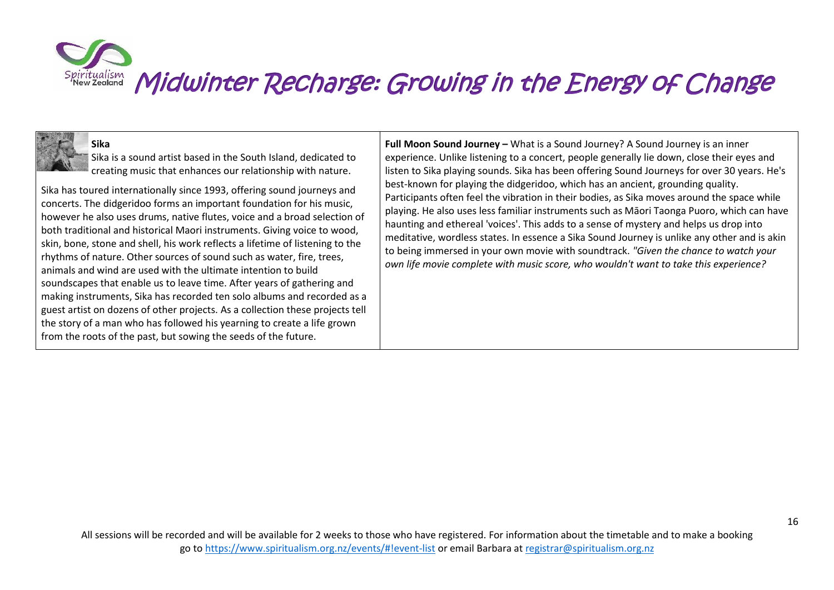## **Sika**

Sika is a sound artist based in the South Island, dedicated to creating music that enhances our relationship with nature.

Sika has toured internationally since 1993, offering sound journeys and concerts. The didgeridoo forms an important foundation for his music, however he also uses drums, native flutes, voice and a broad selection of both traditional and historical Maori instruments. Giving voice to wood, skin, bone, stone and shell, his work reflects a lifetime of listening to the rhythms of nature. Other sources of sound such as water, fire, trees, animals and wind are used with the ultimate intention to build soundscapes that enable us to leave time. After years of gathering and making instruments, Sika has recorded ten solo albums and recorded as a guest artist on dozens of other projects. As a collection these projects tell the story of a man who has followed his yearning to create a life grown from the roots of the past, but sowing the seeds of the future.

**Full Moon Sound Journey –** What is a Sound Journey? A Sound Journey is an inner experience. Unlike listening to a concert, people generally lie down, close their eyes and listen to Sika playing sounds. Sika has been offering Sound Journeys for over 30 years. He's best-known for playing the didgeridoo, which has an ancient, grounding quality. Participants often feel the vibration in their bodies, as Sika moves around the space while playing. He also uses less familiar instruments such as Māori Taonga Puoro, which can have haunting and ethereal 'voices'. This adds to a sense of mystery and helps us drop into meditative, wordless states. In essence a Sika Sound Journey is unlike any other and is akin to being immersed in your own movie with soundtrack. *"Given the chance to watch your own life movie complete with music score, who wouldn't want to take this experience?*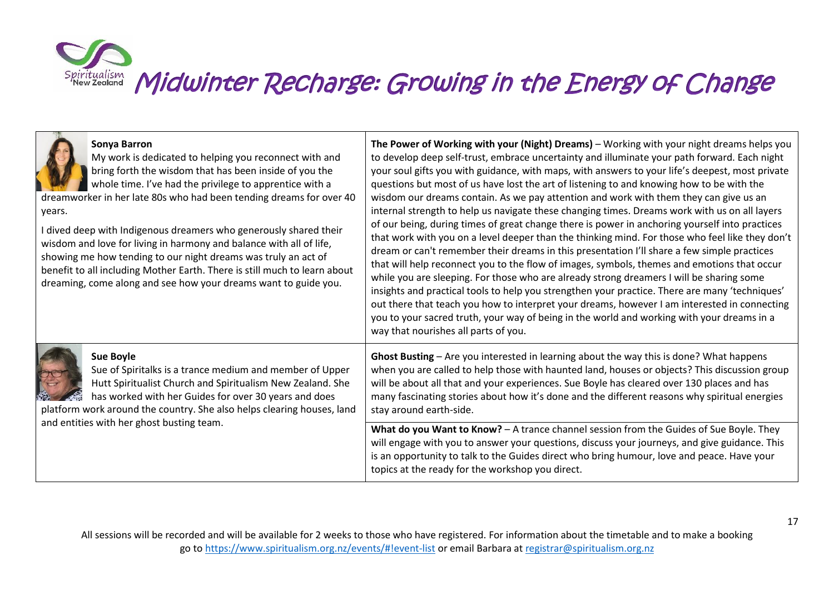| Sonya Barron<br>My work is dedicated to helping you reconnect with and<br>bring forth the wisdom that has been inside of you the<br>whole time. I've had the privilege to apprentice with a<br>dreamworker in her late 80s who had been tending dreams for over 40<br>years.<br>dived deep with Indigenous dreamers who generously shared their<br>wisdom and love for living in harmony and balance with all of life,<br>showing me how tending to our night dreams was truly an act of<br>benefit to all including Mother Earth. There is still much to learn about<br>dreaming, come along and see how your dreams want to guide you. | The Power of Working with your (Night) Dreams) - Working with your night dreams helps you<br>to develop deep self-trust, embrace uncertainty and illuminate your path forward. Each night<br>your soul gifts you with guidance, with maps, with answers to your life's deepest, most private<br>questions but most of us have lost the art of listening to and knowing how to be with the<br>wisdom our dreams contain. As we pay attention and work with them they can give us an<br>internal strength to help us navigate these changing times. Dreams work with us on all layers<br>of our being, during times of great change there is power in anchoring yourself into practices<br>that work with you on a level deeper than the thinking mind. For those who feel like they don't<br>dream or can't remember their dreams in this presentation I'll share a few simple practices<br>that will help reconnect you to the flow of images, symbols, themes and emotions that occur<br>while you are sleeping. For those who are already strong dreamers I will be sharing some<br>insights and practical tools to help you strengthen your practice. There are many 'techniques'<br>out there that teach you how to interpret your dreams, however I am interested in connecting<br>you to your sacred truth, your way of being in the world and working with your dreams in a<br>way that nourishes all parts of you. |
|------------------------------------------------------------------------------------------------------------------------------------------------------------------------------------------------------------------------------------------------------------------------------------------------------------------------------------------------------------------------------------------------------------------------------------------------------------------------------------------------------------------------------------------------------------------------------------------------------------------------------------------|----------------------------------------------------------------------------------------------------------------------------------------------------------------------------------------------------------------------------------------------------------------------------------------------------------------------------------------------------------------------------------------------------------------------------------------------------------------------------------------------------------------------------------------------------------------------------------------------------------------------------------------------------------------------------------------------------------------------------------------------------------------------------------------------------------------------------------------------------------------------------------------------------------------------------------------------------------------------------------------------------------------------------------------------------------------------------------------------------------------------------------------------------------------------------------------------------------------------------------------------------------------------------------------------------------------------------------------------------------------------------------------------------------------------------|
| <b>Sue Boyle</b><br>Sue of Spiritalks is a trance medium and member of Upper<br>Hutt Spiritualist Church and Spiritualism New Zealand. She<br>has worked with her Guides for over 30 years and does<br>platform work around the country. She also helps clearing houses, land<br>and entities with her ghost busting team.                                                                                                                                                                                                                                                                                                               | Ghost Busting - Are you interested in learning about the way this is done? What happens<br>when you are called to help those with haunted land, houses or objects? This discussion group<br>will be about all that and your experiences. Sue Boyle has cleared over 130 places and has<br>many fascinating stories about how it's done and the different reasons why spiritual energies<br>stay around earth-side.                                                                                                                                                                                                                                                                                                                                                                                                                                                                                                                                                                                                                                                                                                                                                                                                                                                                                                                                                                                                         |
|                                                                                                                                                                                                                                                                                                                                                                                                                                                                                                                                                                                                                                          | What do you Want to Know? - A trance channel session from the Guides of Sue Boyle. They<br>will engage with you to answer your questions, discuss your journeys, and give guidance. This<br>is an opportunity to talk to the Guides direct who bring humour, love and peace. Have your<br>topics at the ready for the workshop you direct.                                                                                                                                                                                                                                                                                                                                                                                                                                                                                                                                                                                                                                                                                                                                                                                                                                                                                                                                                                                                                                                                                 |